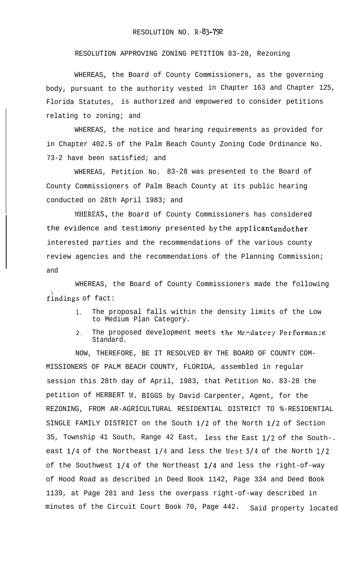RESOLUTION APPROVING ZONING PETITION 83-28, Rezoning

WHEREAS, the Board of County Commissioners, as the governing body, pursuant to the authority vested in Chapter 163 and Chapter 125, Florida Statutes, is authorized and empowered to consider petitions relating to zoning; and

WHEREAS, the notice and hearing requirements as provided for in Chapter 402.5 of the Palm Beach County Zoning Code Ordinance No. 73-2 have been satisfied; and

WHEREAS, Petition No. 83-28 was presented to the Board of County Commissioners of Palm Beach County at its public hearing conducted on 28th April 1983; and

IVHEREAS, the Board of County Commissioners has considered the evidence and testimony presented by the applicant and other interested parties and the recommendations of the various county review agencies and the recommendations of the Planning Commission; and

WHEREAS, the Board of County Commissioners made the following findings of fact:

- 1. The proposal falls within the density limits of the Low to Medium Plan Category.
- 2. The proposed development meets the Mandatery Performance Standard.

NOW, THEREFORE, BE IT RESOLVED BY THE BOARD OF COUNTY COM-MISSIONERS OF PALM BEACH COUNTY, FLORIDA, assembled in regular session this 28th day of April, 1983, that Petition No. 83-28 the petition of HERBERT IV. BIGGS by David Carpenter, Agent, for the REZONING, FROM AR-AGRICULTURAL RESIDENTIAL DISTRICT TO %-RESIDENTIAL SINGLE FAMILY DISTRICT on the South l/2 of the North l/2 of Section 35, Township 41 South, Range 42 East, less the East l/2 of the South-. east  $1/4$  of the Northeast  $1/4$  and less the West  $3/4$  of the North  $1/2$ of the Southwest  $1/4$  of the Northeast  $1/4$  and less the right-of-way of Hood Road as described in Deed Book 1142, Page 334 and Deed Book 1139, at Page 281 and less the overpass right-of-way described in minutes of the Circuit Court Book 70, Page 442. Said property located